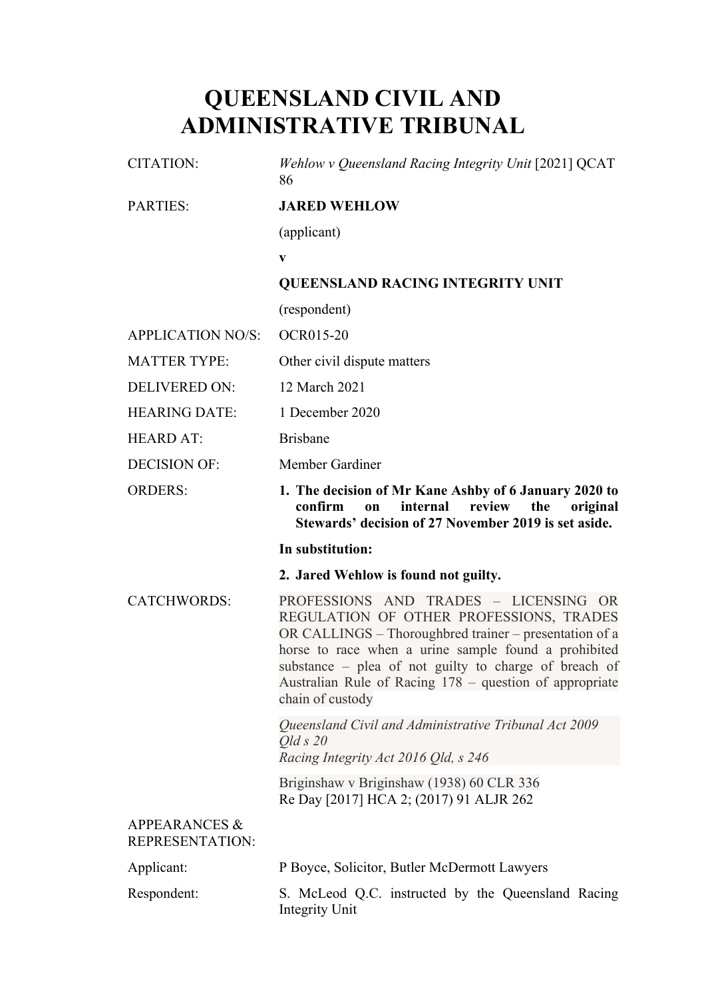# **QUEENSLAND CIVIL AND ADMINISTRATIVE TRIBUNAL**

| <b>CITATION:</b>                            | Wehlow v Queensland Racing Integrity Unit [2021] QCAT<br>86                                                                                                                                                                                                                                                                                |
|---------------------------------------------|--------------------------------------------------------------------------------------------------------------------------------------------------------------------------------------------------------------------------------------------------------------------------------------------------------------------------------------------|
| <b>PARTIES:</b>                             | <b>JARED WEHLOW</b>                                                                                                                                                                                                                                                                                                                        |
|                                             | (applicant)                                                                                                                                                                                                                                                                                                                                |
|                                             | $\mathbf{V}$                                                                                                                                                                                                                                                                                                                               |
|                                             | <b>QUEENSLAND RACING INTEGRITY UNIT</b>                                                                                                                                                                                                                                                                                                    |
|                                             | (respondent)                                                                                                                                                                                                                                                                                                                               |
| <b>APPLICATION NO/S:</b>                    | <b>OCR015-20</b>                                                                                                                                                                                                                                                                                                                           |
| <b>MATTER TYPE:</b>                         | Other civil dispute matters                                                                                                                                                                                                                                                                                                                |
| <b>DELIVERED ON:</b>                        | 12 March 2021                                                                                                                                                                                                                                                                                                                              |
| <b>HEARING DATE:</b>                        | 1 December 2020                                                                                                                                                                                                                                                                                                                            |
| <b>HEARD AT:</b>                            | <b>Brisbane</b>                                                                                                                                                                                                                                                                                                                            |
| <b>DECISION OF:</b>                         | Member Gardiner                                                                                                                                                                                                                                                                                                                            |
| <b>ORDERS:</b>                              | 1. The decision of Mr Kane Ashby of 6 January 2020 to<br>review<br>confirm<br>internal<br>the<br>original<br>$\mathbf{on}$<br>Stewards' decision of 27 November 2019 is set aside.                                                                                                                                                         |
|                                             | In substitution:                                                                                                                                                                                                                                                                                                                           |
|                                             | 2. Jared Wehlow is found not guilty.                                                                                                                                                                                                                                                                                                       |
|                                             |                                                                                                                                                                                                                                                                                                                                            |
| <b>CATCHWORDS:</b>                          | PROFESSIONS AND TRADES - LICENSING OR<br>REGULATION OF OTHER PROFESSIONS, TRADES<br>OR CALLINGS – Thoroughbred trainer – presentation of a<br>horse to race when a urine sample found a prohibited<br>substance – plea of not guilty to charge of breach of<br>Australian Rule of Racing 178 - question of appropriate<br>chain of custody |
|                                             | Queensland Civil and Administrative Tribunal Act 2009<br>$QldS$ 20<br>Racing Integrity Act 2016 Qld, s 246                                                                                                                                                                                                                                 |
|                                             | Briginshaw v Briginshaw (1938) 60 CLR 336<br>Re Day [2017] HCA 2; (2017) 91 ALJR 262                                                                                                                                                                                                                                                       |
| <b>APPEARANCES &amp;</b><br>REPRESENTATION: |                                                                                                                                                                                                                                                                                                                                            |
| Applicant:                                  | P Boyce, Solicitor, Butler McDermott Lawyers                                                                                                                                                                                                                                                                                               |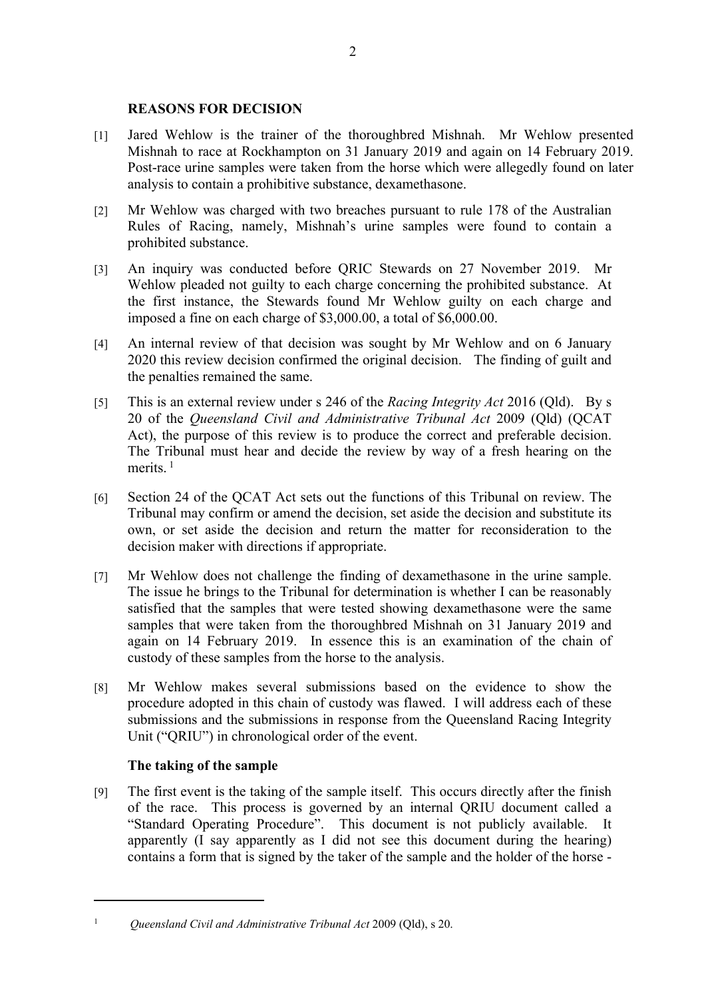## **REASONS FOR DECISION**

- [1] Jared Wehlow is the trainer of the thoroughbred Mishnah. Mr Wehlow presented Mishnah to race at Rockhampton on 31 January 2019 and again on 14 February 2019. Post-race urine samples were taken from the horse which were allegedly found on later analysis to contain a prohibitive substance, dexamethasone.
- [2] Mr Wehlow was charged with two breaches pursuant to rule 178 of the Australian Rules of Racing, namely, Mishnah's urine samples were found to contain a prohibited substance.
- [3] An inquiry was conducted before QRIC Stewards on 27 November 2019. Mr Wehlow pleaded not guilty to each charge concerning the prohibited substance. At the first instance, the Stewards found Mr Wehlow guilty on each charge and imposed a fine on each charge of \$3,000.00, a total of \$6,000.00.
- [4] An internal review of that decision was sought by Mr Wehlow and on 6 January 2020 this review decision confirmed the original decision. The finding of guilt and the penalties remained the same.
- [5] This is an external review under s 246 of the *Racing Integrity Act* 2016 (Qld). By s 20 of the *Queensland Civil and Administrative Tribunal Act* 2009 (Qld) (QCAT Act), the purpose of this review is to produce the correct and preferable decision. The Tribunal must hear and decide the review by way of a fresh hearing on the merits.<sup>1</sup>
- [6] Section 24 of the QCAT Act sets out the functions of this Tribunal on review. The Tribunal may confirm or amend the decision, set aside the decision and substitute its own, or set aside the decision and return the matter for reconsideration to the decision maker with directions if appropriate.
- [7] Mr Wehlow does not challenge the finding of dexamethasone in the urine sample. The issue he brings to the Tribunal for determination is whether I can be reasonably satisfied that the samples that were tested showing dexamethasone were the same samples that were taken from the thoroughbred Mishnah on 31 January 2019 and again on 14 February 2019. In essence this is an examination of the chain of custody of these samples from the horse to the analysis.
- [8] Mr Wehlow makes several submissions based on the evidence to show the procedure adopted in this chain of custody was flawed. I will address each of these submissions and the submissions in response from the Queensland Racing Integrity Unit ("QRIU") in chronological order of the event.

## **The taking of the sample**

[9] The first event is the taking of the sample itself. This occurs directly after the finish of the race. This process is governed by an internal QRIU document called a "Standard Operating Procedure". This document is not publicly available. It apparently (I say apparently as I did not see this document during the hearing) contains a form that is signed by the taker of the sample and the holder of the horse -

<sup>1</sup> *Queensland Civil and Administrative Tribunal Act* 2009 (Qld), s 20.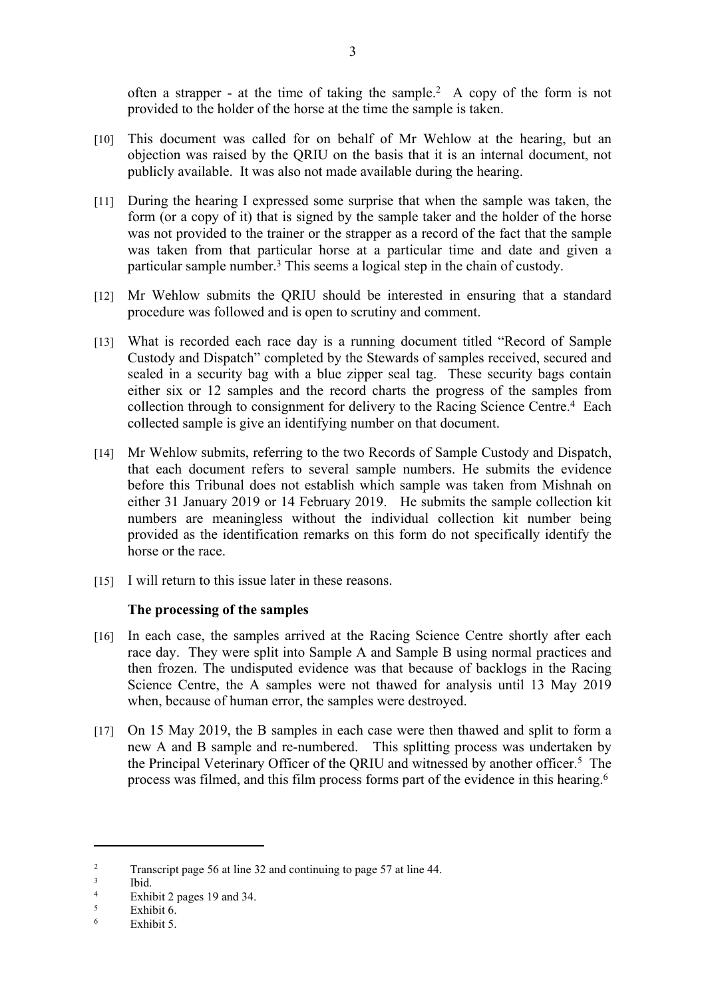often a strapper - at the time of taking the sample.<sup>2</sup> A copy of the form is not provided to the holder of the horse at the time the sample is taken.

- [10] This document was called for on behalf of Mr Wehlow at the hearing, but an objection was raised by the QRIU on the basis that it is an internal document, not publicly available. It was also not made available during the hearing.
- [11] During the hearing I expressed some surprise that when the sample was taken, the form (or a copy of it) that is signed by the sample taker and the holder of the horse was not provided to the trainer or the strapper as a record of the fact that the sample was taken from that particular horse at a particular time and date and given a particular sample number.<sup>3</sup> This seems a logical step in the chain of custody.
- [12] Mr Wehlow submits the QRIU should be interested in ensuring that a standard procedure was followed and is open to scrutiny and comment.
- [13] What is recorded each race day is a running document titled "Record of Sample" Custody and Dispatch" completed by the Stewards of samples received, secured and sealed in a security bag with a blue zipper seal tag. These security bags contain either six or 12 samples and the record charts the progress of the samples from collection through to consignment for delivery to the Racing Science Centre.<sup>4</sup> Each collected sample is give an identifying number on that document.
- [14] Mr Wehlow submits, referring to the two Records of Sample Custody and Dispatch, that each document refers to several sample numbers. He submits the evidence before this Tribunal does not establish which sample was taken from Mishnah on either 31 January 2019 or 14 February 2019. He submits the sample collection kit numbers are meaningless without the individual collection kit number being provided as the identification remarks on this form do not specifically identify the horse or the race.
- [15] I will return to this issue later in these reasons.

### **The processing of the samples**

- [16] In each case, the samples arrived at the Racing Science Centre shortly after each race day. They were split into Sample A and Sample B using normal practices and then frozen. The undisputed evidence was that because of backlogs in the Racing Science Centre, the A samples were not thawed for analysis until 13 May 2019 when, because of human error, the samples were destroyed.
- [17] On 15 May 2019, the B samples in each case were then thawed and split to form a new A and B sample and re-numbered. This splitting process was undertaken by the Principal Veterinary Officer of the QRIU and witnessed by another officer.<sup>5</sup> The process was filmed, and this film process forms part of the evidence in this hearing.<sup>6</sup>

 $\overline{2}$ Transcript page 56 at line 32 and continuing to page 57 at line 44.

<sup>3</sup> Ibid.

<sup>4</sup> Exhibit 2 pages 19 and 34.

<sup>5</sup> Exhibit 6.

<sup>6</sup> Exhibit 5.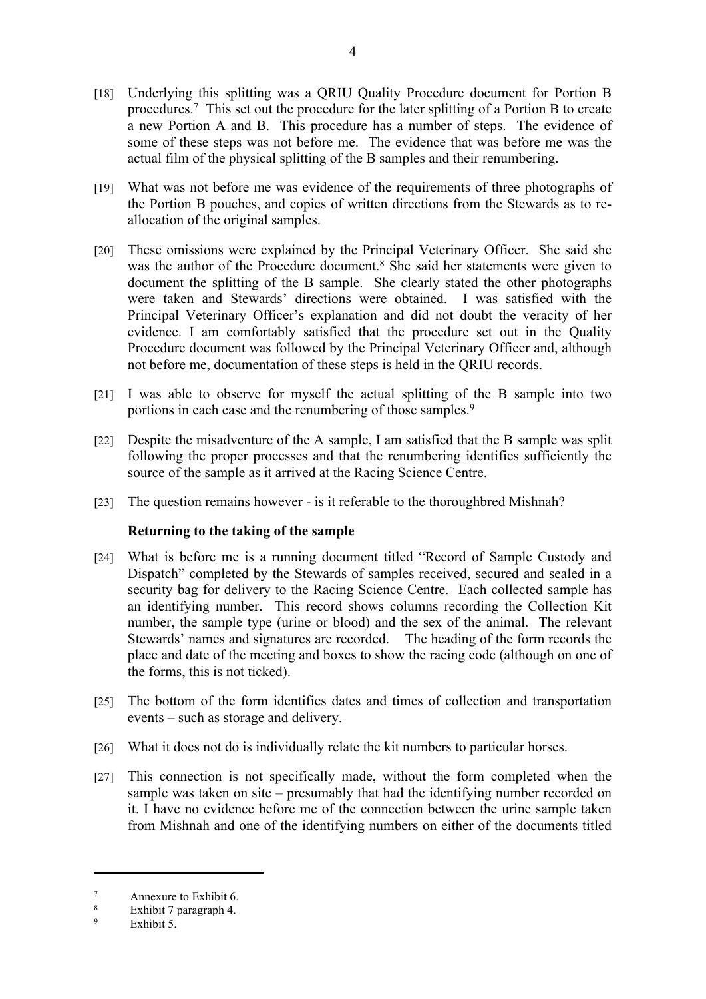- [18] Underlying this splitting was a QRIU Quality Procedure document for Portion B procedures.<sup>7</sup> This set out the procedure for the later splitting of a Portion B to create a new Portion A and B. This procedure has a number of steps. The evidence of some of these steps was not before me. The evidence that was before me was the actual film of the physical splitting of the B samples and their renumbering.
- [19] What was not before me was evidence of the requirements of three photographs of the Portion B pouches, and copies of written directions from the Stewards as to reallocation of the original samples.
- [20] These omissions were explained by the Principal Veterinary Officer. She said she was the author of the Procedure document.<sup>8</sup> She said her statements were given to document the splitting of the B sample. She clearly stated the other photographs were taken and Stewards' directions were obtained. I was satisfied with the Principal Veterinary Officer's explanation and did not doubt the veracity of her evidence. I am comfortably satisfied that the procedure set out in the Quality Procedure document was followed by the Principal Veterinary Officer and, although not before me, documentation of these steps is held in the QRIU records.
- [21] I was able to observe for myself the actual splitting of the B sample into two portions in each case and the renumbering of those samples.<sup>9</sup>
- [22] Despite the misadventure of the A sample, I am satisfied that the B sample was split following the proper processes and that the renumbering identifies sufficiently the source of the sample as it arrived at the Racing Science Centre.
- [23] The question remains however is it referable to the thoroughbred Mishnah?

### **Returning to the taking of the sample**

- [24] What is before me is a running document titled "Record of Sample Custody and Dispatch" completed by the Stewards of samples received, secured and sealed in a security bag for delivery to the Racing Science Centre. Each collected sample has an identifying number. This record shows columns recording the Collection Kit number, the sample type (urine or blood) and the sex of the animal. The relevant Stewards' names and signatures are recorded. The heading of the form records the place and date of the meeting and boxes to show the racing code (although on one of the forms, this is not ticked).
- [25] The bottom of the form identifies dates and times of collection and transportation events – such as storage and delivery.
- [26] What it does not do is individually relate the kit numbers to particular horses.
- [27] This connection is not specifically made, without the form completed when the sample was taken on site – presumably that had the identifying number recorded on it. I have no evidence before me of the connection between the urine sample taken from Mishnah and one of the identifying numbers on either of the documents titled

<sup>7</sup> Annexure to Exhibit 6.

<sup>8</sup> Exhibit 7 paragraph 4.

<sup>9</sup> Exhibit 5.